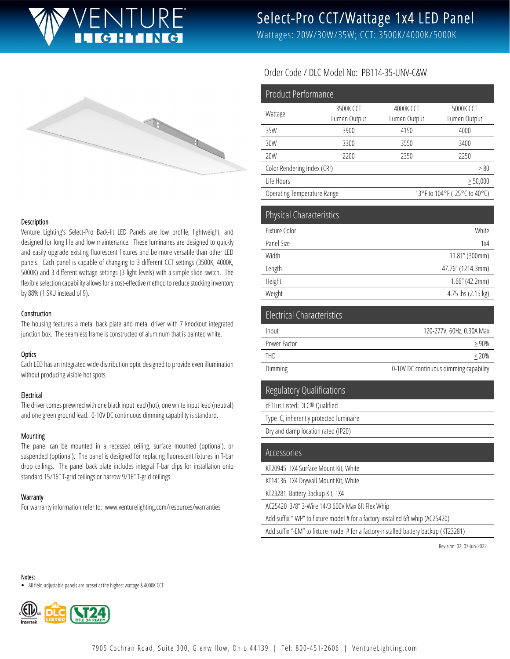

# Select-Pro CCT/Wattage 1x4 LED Panel

Wattages: 20W/30W/35W; CCT: 3500K/4000K/5000K



### Description

Venture Lighting's Select-Pro Back-lit LED Panels are low profile, lightweight, and designed for long life and low maintenance. These luminaires are designed to quickly and easily upgrade existing fluorescent fixtures and be more versatile than other LED panels. Each panel is capable of changing to 3 different CCT settings (3500K, 4000K, 5000K) and 3 different wattage settings (3 light levels) with a simple slide switch. The flexible selection capability allows for a cost-effective method to reduce stocking inventory by 88% (1 SKU instead of 9).

#### Construction

The housing features a metal back plate and metal driver with 7 knockout integrated junction box. The seamless frame is constructed of aluminum that is painted white.

### **Optics**

Each LED has an integrated wide distribution optic designed to provide even illumination without producing visible hot spots.

### Electrical

The driver comes prewired with one black input lead (hot), one white input lead (neutral) and one green ground lead. 0-10V DC continuous dimming capability is standard.

#### Mounting

The panel can be mounted in a recessed ceiling, surface mounted (optional), or suspended (optional). The panel is designed for replacing fluorescent fixtures in T-bar drop ceilings. The panel back plate includes integral T-bar clips for installation onto standard 15/16" T-grid ceilings or narrow 9/16" T-grid ceilings.

#### **Warranty**

For warranty information refer to: www.venturelighting.com/resources/warranties

## Order Code / DLC Model No: PB114-35-UNV-C&W

| <b>Product Performance</b>        |              |                                |                    |
|-----------------------------------|--------------|--------------------------------|--------------------|
| Wattage                           | 3500K CCT    | 4000K CCT                      | 5000K CCT          |
|                                   | Lumen Output | Lumen Output                   | Lumen Output       |
| 35W                               | 3900         | 4150                           | 4000               |
| 30W                               | 3300         | 3550                           | 3400               |
| 20W                               | 2200         | 2350                           | 2250               |
| Color Rendering Index (CRI)       |              |                                | $\geq 80$          |
| Life Hours                        |              | $\geq 50,000$                  |                    |
| Operating Temperature Range       |              | -13°F to 104°F (-25°C to 40°C) |                    |
| Physical Characteristics          |              |                                |                    |
| Fixture Color                     |              | White                          |                    |
| Panel Size                        |              | 1x4                            |                    |
| Width                             |              | 11.81" (300mm)                 |                    |
| Length                            |              | 47.76" (1214.3mm)              |                    |
| Height                            |              | $1.66''$ (42.2mm)              |                    |
| Weight                            |              |                                | 4.75 lbs (2.15 kg) |
| <b>Electrical Characteristics</b> |              |                                |                    |
| Input                             |              | 120-277V, 60Hz, 0.30A Max      |                    |
| Power Factor                      |              | > 90%                          |                    |
| <b>THD</b>                        |              | $< 20\%$                       |                    |

Dimming Dimming 2001 Continuous dimming capability

# Regulatory Qualifications

cETLus Listed; DLC® Qualified Type IC, inherently protected luminaire

Dry and damp location rated (IP20)

| Accessories                                                                          |
|--------------------------------------------------------------------------------------|
| KT20945 1X4 Surface Mount Kit, White                                                 |
| KT14136 1X4 Drywall Mount Kit, White                                                 |
| KT23281 Battery Backup Kit, 1X4                                                      |
| AC25420 3/8" 3-Wire 14/3 600V Max 6ft Flex Whip                                      |
| Add suffix "-WP" to fixture model # for a factory-installed 6ft whip (AC25420)       |
| Add suffix "-EM" to fixture model # for a factory-installed battery backup (KT23281) |

Revision: 02, 07-Jun-2022

Notes:

All field-adjustable panels are preset at the highest wattage & 4000K CCT